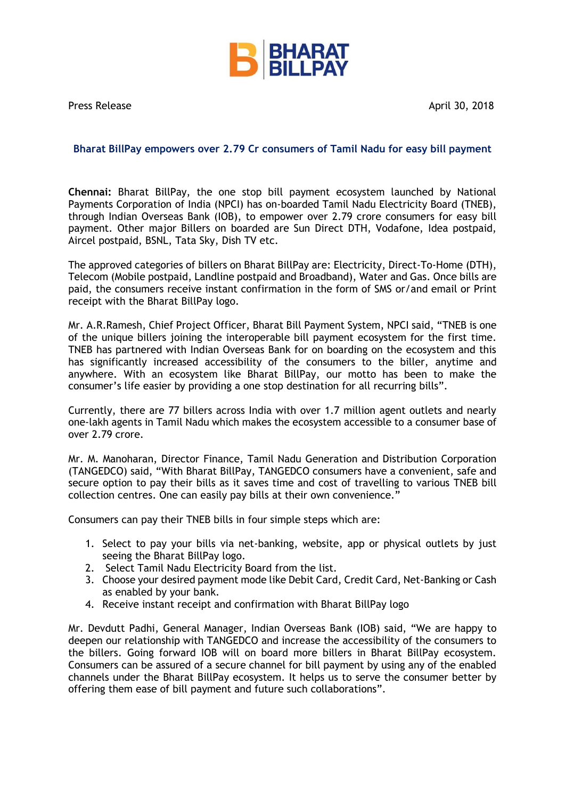

Press Release April 30, 2018

## **Bharat BillPay empowers over 2.79 Cr consumers of Tamil Nadu for easy bill payment**

**Chennai:** Bharat BillPay, the one stop bill payment ecosystem launched by National Payments Corporation of India (NPCI) has on-boarded Tamil Nadu Electricity Board (TNEB), through Indian Overseas Bank (IOB), to empower over 2.79 crore consumers for easy bill payment. Other major Billers on boarded are Sun Direct DTH, Vodafone, Idea postpaid, Aircel postpaid, BSNL, Tata Sky, Dish TV etc.

The approved categories of billers on Bharat BillPay are: Electricity, Direct-To-Home (DTH), Telecom (Mobile postpaid, Landline postpaid and Broadband), Water and Gas. Once bills are paid, the consumers receive instant confirmation in the form of SMS or/and email or Print receipt with the Bharat BillPay logo.

Mr. A.R.Ramesh, Chief Project Officer, Bharat Bill Payment System, NPCI said, "TNEB is one of the unique billers joining the interoperable bill payment ecosystem for the first time. TNEB has partnered with Indian Overseas Bank for on boarding on the ecosystem and this has significantly increased accessibility of the consumers to the biller, anytime and anywhere. With an ecosystem like Bharat BillPay, our motto has been to make the consumer's life easier by providing a one stop destination for all recurring bills".

Currently, there are 77 billers across India with over 1.7 million agent outlets and nearly one-lakh agents in Tamil Nadu which makes the ecosystem accessible to a consumer base of over 2.79 crore.

Mr. M. Manoharan, Director Finance, Tamil Nadu Generation and Distribution Corporation (TANGEDCO) said, "With Bharat BillPay, TANGEDCO consumers have a convenient, safe and secure option to pay their bills as it saves time and cost of travelling to various TNEB bill collection centres. One can easily pay bills at their own convenience."

Consumers can pay their TNEB bills in four simple steps which are:

- 1. Select to pay your bills via net-banking, website, app or physical outlets by just seeing the Bharat BillPay logo.
- 2. Select Tamil Nadu Electricity Board from the list.
- 3. Choose your desired payment mode like Debit Card, Credit Card, Net-Banking or Cash as enabled by your bank.
- 4. Receive instant receipt and confirmation with Bharat BillPay logo

Mr. Devdutt Padhi, General Manager, Indian Overseas Bank (IOB) said, "We are happy to deepen our relationship with TANGEDCO and increase the accessibility of the consumers to the billers. Going forward IOB will on board more billers in Bharat BillPay ecosystem. Consumers can be assured of a secure channel for bill payment by using any of the enabled channels under the Bharat BillPay ecosystem. It helps us to serve the consumer better by offering them ease of bill payment and future such collaborations".